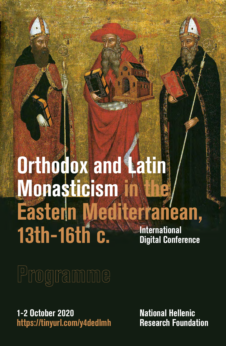## **Orthodox and Latin Monasticism in the Eastern Mediterranean, 13th-16th c. Example 2 Thernational**<br>Digital Conference

# Programme

**1-2 Οctober 2020 https://tinyurl.com/y4dedlmh** **National Hellenic Research Foundation**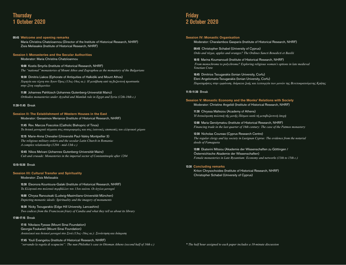## **Thursday 1 October 2020**

## **09:45 Welcome and opening remarks**

Μaria Christina Chatziioannou (Director of the Institute of Historical Research, NHRF) Ζisis Melissakis (Institute of Historical Research, NHRF)

## **Session I: Monasteries and the Secular Authorities**

Moderator: Μaria Christina Chatziioannou

**10:00** Kostis Smyrlis (Institute of Historical Research, NHRF) *The "national'' monasteries of Mount Athos and Zographou as the monastery of the Bulgarians*

**10:30** Dimitris Liakos (Ephorate of Antiquities of Halkidiki and Mount Athos)  *Χορηγία και τέχνη στο Άγιον Όρος (13ος-16ος αι.): Η μετάβαση από τη βυζαντινή προστασία στην ξένη «κηδεμονία»*

**11:00** Johannes Pahlitzsch (Johannes Gutenberg-Universität Mainz)  *Orthodox monasteries under Ayyubid and Mamluk rule in Egypt and Syria (12th-16th c.)*

### **11:30-11:45** Break

## **Session II: The Establishment of Western Houses in the East**

Moderator: Gerasimos Merianos (Institute of Historical Research, NHRF)

**11:45** Rev. Marcos Foscolos (Catholic Bishopric of Tinos)  *Τα δυτικά μοναχικά τάγματα στις σταυροφορίες και στις λατινικές επισκοπές του ελληνικού χώρου*

**12:15** Marie-Anna Chevalier (Université Paul-Valéry Montpellier 3)  *The religious military orders and the secular Latin Church in Romania: A complex relationship (1204 - mid-13th c.)*

**12:45** Nikos Melvani (Johannes Gutenberg-Universität Mainz)  *Cult and crusade: Monasteries in the imperial sector of Constantinople after 1204*

### **13:15-15:30** Break

### **Session III: Cultural Transfer and Spirituality**

Moderator: Zisis Melissakis

**15:30** Eleonora Kountoura-Galaki (Institute of Historical Research, NHRF)  *Τα Ελληνικά στο πολιτικό περιβάλλον του 13ου αιώνα. Οι άγγλοι μοναχοί*

**16:00** Chrysa Ranoutsaki (Ludwig-Maximilians-Universität München)  *Depicting monastic ideals: Spirituality and the imagery of monuments*

**16:30** Nicky Tsougarakis (Edge Hill University, Lancashire)  *Two codices from the Franciscan friary of Candia and what they tell us about its library*

### **17:00-17:15** Break

**17:15** Nikolaos Fyssas (Mount Sinai Foundation) Georgia Foukaneli (Mount Sinai Foundation)  *Ανατολικοί και δυτικοί μοναχοί στο Σινά (13ος–16ος αι.): Συνάντηση και διάκριση*

**17:45** Youli Evangelou (Institute of Historical Research, NHRF)  *"servando la regola di scapucini": The nun Philothei's case in Ottoman Athens (second half of 16th c.)*

## **Friday 2 October 2020**

## **Session IV: Monastic Organisation**

Moderator: Charalambos Gasparis (Institute of Historical Research, NHRF)

**09:45** Christopher Schabel (University of Cyprus)  *Ordo and τάγμα, apples and oranges? The Ordines Sancti Benedicti et Basilii*

**10:15** Marina Koumanoudi (Institute of Historical Research, NHRF) *From monochrome to polychrome? Exploring religious women's options in late medieval Venetian Crete*

**10:45** Dimitrios Tsougarakis (Ionian University, Corfu) Eleni Angelomatis-Tsougarakis (Ionian University, Corfu)  *Παρατηρήσεις στην εμφάνιση, διάρκεια ζωής και λειτουργία των μονών της Βενετοκρατούμενης Κρήτης*

## **11:15-11:30** Break

## **Session V: Monastic Economy and the Monks' Relations with Society** Moderator: Christine Angelidi (Institute of Historical Research, NHRF)

**11:30** Chryssa Maltezou (Academy of Athens)  *Ἡ δυτικότροπη πολιτικὴ τῆς μονῆς Πάτμου κατὰ τὴ μεταβυζαντινὴ ἐποχὴ*

**12:00** Maria Gerolymatou (Institute of Historical Research, NHRF)  *Financing trade in the last quarter of 16th century: The case of the Patmos monastery*

**12:30** Nicholas Coureas (Cyprus Research Centre)  *The regular clergy and lay society in Lusignan Cyprus: The evidence from the notarial deeds of Famagusta*

**13:00** Ekaterini Mitsiou (Akademie der Wissenschaften zu Göttingen / Österreichische Akademie der Wissenschaften)  *Female monasteries in Late Byzantium: Economy and networks (13th to 15th c.)*

## **13:30 Concluding remarks**

Kriton Chrysochoides (Institute of Historical Research, NHRF) Christopher Schabel (University of Cyprus)

*\* The half hour assigned to each paper includes a 10-minute discussion*